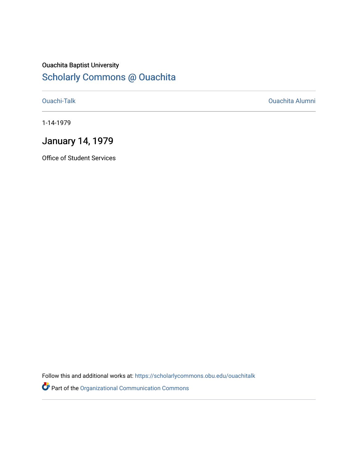### Ouachita Baptist University [Scholarly Commons @ Ouachita](https://scholarlycommons.obu.edu/)

[Ouachi-Talk](https://scholarlycommons.obu.edu/ouachitalk) [Ouachita Alumni](https://scholarlycommons.obu.edu/obu_alum) 

1-14-1979

### January 14, 1979

Office of Student Services

Follow this and additional works at: [https://scholarlycommons.obu.edu/ouachitalk](https://scholarlycommons.obu.edu/ouachitalk?utm_source=scholarlycommons.obu.edu%2Fouachitalk%2F57&utm_medium=PDF&utm_campaign=PDFCoverPages) 

Part of the [Organizational Communication Commons](http://network.bepress.com/hgg/discipline/335?utm_source=scholarlycommons.obu.edu%2Fouachitalk%2F57&utm_medium=PDF&utm_campaign=PDFCoverPages)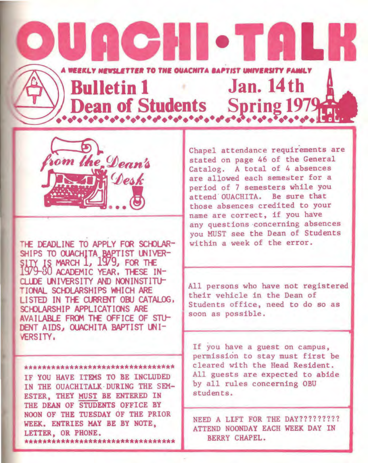## UGCHI • TA L **EEKLY NEWSLETTER TO THE OUACHITA BAPTIST UNIVERSIT** Bulletin 1 Jan. 14th Dean of Students Spring 1979



THE DEADLINE TO APPLY FOR SCHOLAR-SHIPS TO OUACHITA BAPTIST UNIVER-SITY IS MARCH 1, 1979, FOR THE 79-80 ACADEMIC YEAR, THESE IN-CLUDE UNIVERSITY AND NONINSTITU-TIONAL SCHOLARSHIPS WHICH ARE LISTED IN THE CURRENT OBU CATALOG. SCHOLARSHIP APPLICATIONS ARE AVAILABLE FROM THE OFFICE OF STU-DENT AIDS, OUACHITA BAPTIST UNI-VERSITY.

#### \*\*\*\*\*\*\*\*\*\*\*\*\*\*\*\*\*\*\*\*\*\*\*\*\*\*\*\*\*\*\*\*\*

IF YOU HAVE ITEMS TO BE INCLUDED IN THE OUACHITALK DURING THE SEM-ESTER, THEY MUST BE ENTERED IN THE DEAN OF STUDENTS OFFICE BY NOON OF THE TUESDAY OF THE PRIOR WEEK. ENTRIES MAY BE BY NOTE. LETTER, OR PHONE. \*\*\*\*\*\*\*\*\*\*\*\*\*\*\*\*\*\*\*\*\*\*\*\*\*\*\*\*\*\*\*\*\* Chapel attendance requirements are stated on page 46 of the General Catalog. A total of 4 absences are allowed each semester for a period of 7 semesters while you attend OUACHITA. Be sure that those absences credited to your name are correct, if you have any questions concerning absences you MUST see the Dean of Students within a week of the error.

All persons who have not registered their vehicle in the Dean of Students office, need to do so as soon as possible.

If you have a guest on campus. permission to stay must first be cleared with the Head Resident. All guests are expected to abide by all rules concerning OBU students.

NEED A LIFT FOR THE DAY????????? ATTEND NOONDAY EACH WEEK DAY IN **BERRY CHAPEL.**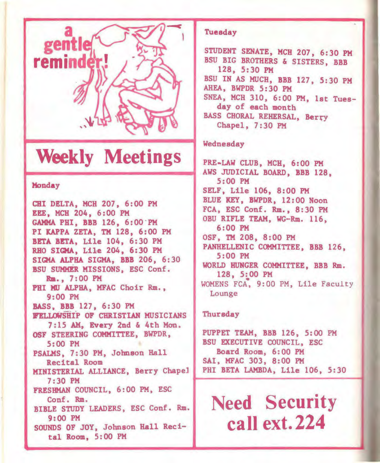

### **Weekly Meetings**

#### Monday

CHI DELTA, MCH 207, 6:00 PM EEE, MCH 204, 6:00 PM GAMMA PHI, BBB 126, 6:00 "PM PI KAPPA ZETA, TM 128, 6:00 PM BETA BETA, Lile 104, 6:30 PM RHO SIGMA, Lile 204, 6:30 PM SIGMA ALPHA SIGMA, BBB 206, 6:30 BSU SUMMER MISSIONS, ESC Conf. Ria., 7:00 PM PHI MU ALPHA, MFAC Choir Rm., 9:00 PM BASS, BBB 127, 6:30PM **FELLOWSHIP OF CHRISTIAN MUSICIANS** 7:15 AM, Every 2nd & 4th Mon. OSF STEERING COMMITTEE, BWPDR, 5:00 PM PSALMS, 7:30 PM, Johnson Hall Recital Room MINISTERIAL ALLIANCE, Berry Chapel ISTERIAL ALLIANCE, Berry Chapel PHI BETA LAMBDA, Lile 106, 5:30<br>7:30 PM FRESHMAN COUNCIL, 6:00 PM, ESC Conf. Rm. BIBLE STUDY LEADERS, ESC Conf. Rm. 9:00 PM SOUNDS OF JOY, Johnson Hall Recital Room, 5:00 PM

#### Tuesday

STUDENT SENATE, MCH 207, 6:30 PM BSU BIG BROTHERS & SISTERS, BBB 128, 5:30 PM BSU IN AS MUCH, BBB 127, 5:30 PM AHEA, BWPDR 5: 30 PM SNEA, MCH 310, 6:00 PM, 1st Tuesday of each month BASS CHORAL REHERSAL, Berry Chapel, 7:30 PM

#### Wednesday

PRE-LAW CLUB, MCH, 6:00 PM AWS JUDICIAL BOARD, BBB 128, 5:00 PM SELF, Lile 106, 8:00 PM BLUE KEY, BWPDR, 12:00 Noon FCA, ESC Conf. Rm., 8:30 PM OBU RIFLE TEAM, WG-Rm. 116, 6:00 PM OSF, TM 208, 8:00 PM PANHELLENIC COMMITTEE, BBB 126, 5:00 PM WORLD HUNGER COMMITTEE, BBB Rm. 128, 5:00 PM WOMENS FCA, 9:00 PM, Lile Faculty Lounge

#### Thursday

PUPPET TEAM, BBB 126, 5:00 PM BSU EXECUTIVE COUNCIL, ESC Board Room, 6:00 PM SAI, MFAC 303, 8:00 PM

**Need Security call ext. 224**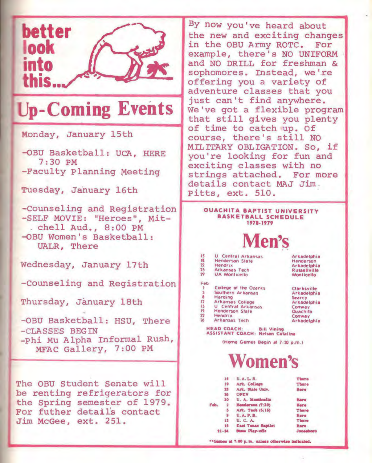

## **Up-Coming Events**

Monday, January 15th

-QBU Basketball: UCA, HERE 7:30 PM -Faculty Planning Meeting

Tuesday, January 16th

-counseling and Registration -SELF MOVIE: "Heroes", Mit- . chell Aud., 8:00 PM -QBU Women's Basketball: UALR, There

Wednesday, January 17th

-counseling and Registration

Thursday, January 18th

-OBU Basketball: HSU, There - CLASSES BEGIN -Phi Mu Alpha Informal Rush, MFAC Gallery, 7: oo PM

The OBU Student Senate will be renting refrigerators for the Spring semester of 1979. For futher detai1's contact Jim McGee, ext. 251.

By now you've heard about the new and exciting changes in the OBU Army ROTC. For example, there's NO UNIFORM and NO DRILL for freshman & sophomores. Instead, we're offering you a variety of adventure classes that you just can't find anywhere. We've got a flexible program that still gives you plenty of time to catch up. Of course, there's still NO MILITARY OBLIGATION. So, if you're looking for fun and exciting classes with no strings attached. For more details contact MAJ Jim . Pitts, ext. 510.

#### OUACHITA BAPTIST UNIVERSITY BASKETBALL SCHEDULE 1971-1979



| 15             | U Central Arkansas        | Arkadelphia         |
|----------------|---------------------------|---------------------|
| 18             | Henderson State           | Henderson           |
| $\mathbf{z}$   | Hendrix                   | Arkadelphia         |
| 25             | Arkansas Tech             | <b>Russellville</b> |
| 79             | <b>UA Monticello</b>      | <b>Monticello</b>   |
| Feb            |                           |                     |
| ٠              | College of the Ozarks     | Clarksville         |
|                | Southern Arkansas         | Arkadelphia         |
| -8             | Harding                   | Searcy              |
| 12             | Arkansas College          | Arkadelphia         |
| 15             | <b>U</b> Central Arkansas | Conway              |
| 19             | Henderson State           | <b>Ouachita</b>     |
| $\overline{2}$ | <b>Hendrix</b>            | Conway              |
| 26             | Arkansas Tech             | Arkadelphia         |

HEAD COACH: Bill Vining<br>ASSISTANT COACH: Nelson Catalina

IHome Games Begin at  $7:30$  p.m.)

### **Women's**

|           |    | <b>U.A.L.R.</b>                                  | <b>There</b> |
|-----------|----|--------------------------------------------------|--------------|
|           | 19 | Ark. College                                     | There        |
|           |    | Ark. State Univ.                                 | Here         |
|           |    | <b>OPEN</b>                                      |              |
|           | 30 | U. A. Monticello                                 | Hare         |
|           |    | Henderson (7:30)                                 | Here         |
|           |    | Ark. Tech (5:15)                                 | There        |
|           |    | <b>U.A.P.B.</b>                                  | Here         |
|           | 13 | U, C, A                                          | There        |
|           | 16 | <b>East Tenas Baptist</b>                        | Here:        |
| $21 - 34$ |    | State Play-offs                                  | Jonasbor     |
|           |    | "Games at 7:00 p. m. unless otherwise indicated. |              |